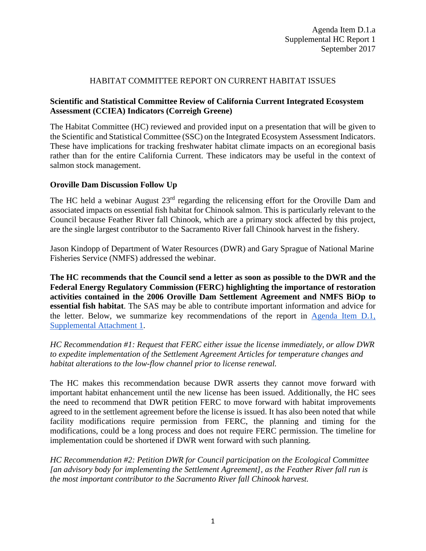# HABITAT COMMITTEE REPORT ON CURRENT HABITAT ISSUES

## **Scientific and Statistical Committee Review of California Current Integrated Ecosystem Assessment (CCIEA) Indicators (Correigh Greene)**

The Habitat Committee (HC) reviewed and provided input on a presentation that will be given to the Scientific and Statistical Committee (SSC) on the Integrated Ecosystem Assessment Indicators. These have implications for tracking freshwater habitat climate impacts on an ecoregional basis rather than for the entire California Current. These indicators may be useful in the context of salmon stock management.

#### **Oroville Dam Discussion Follow Up**

The HC held a webinar August 23<sup>rd</sup> regarding the relicensing effort for the Oroville Dam and associated impacts on essential fish habitat for Chinook salmon. This is particularly relevant to the Council because Feather River fall Chinook, which are a primary stock affected by this project, are the single largest contributor to the Sacramento River fall Chinook harvest in the fishery.

Jason Kindopp of Department of Water Resources (DWR) and Gary Sprague of National Marine Fisheries Service (NMFS) addressed the webinar.

**The HC recommends that the Council send a letter as soon as possible to the DWR and the Federal Energy Regulatory Commission (FERC) highlighting the importance of restoration activities contained in the 2006 Oroville Dam Settlement Agreement and NMFS BiOp to essential fish habitat**. The SAS may be able to contribute important information and advice for the letter. Below, we summarize key recommendations of the report in [Agenda Item D.1,](http://www.pcouncil.org/wp-content/uploads/2017/09/D1_Sup_Att1_HC_OrovilleDam_SEPT2017BB.pdf)  [Supplemental Attachment 1.](http://www.pcouncil.org/wp-content/uploads/2017/09/D1_Sup_Att1_HC_OrovilleDam_SEPT2017BB.pdf)

*HC Recommendation #1: Request that FERC either issue the license immediately, or allow DWR to expedite implementation of the Settlement Agreement Articles for temperature changes and habitat alterations to the low-flow channel prior to license renewal.*

The HC makes this recommendation because DWR asserts they cannot move forward with important habitat enhancement until the new license has been issued. Additionally, the HC sees the need to recommend that DWR petition FERC to move forward with habitat improvements agreed to in the settlement agreement before the license is issued. It has also been noted that while facility modifications require permission from FERC, the planning and timing for the modifications, could be a long process and does not require FERC permission. The timeline for implementation could be shortened if DWR went forward with such planning.

*HC Recommendation #2: Petition DWR for Council participation on the Ecological Committee [an advisory body for implementing the Settlement Agreement], as the Feather River fall run is the most important contributor to the Sacramento River fall Chinook harvest.*